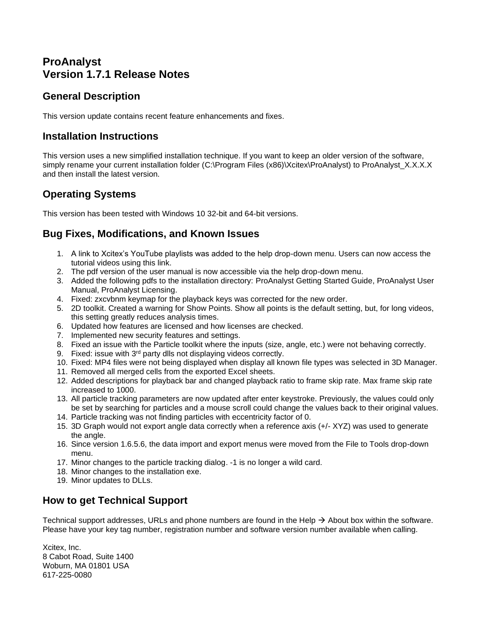# **ProAnalyst Version 1.7.1 Release Notes**

#### **General Description**

This version update contains recent feature enhancements and fixes.

#### **Installation Instructions**

This version uses a new simplified installation technique. If you want to keep an older version of the software, simply rename your current installation folder (C:\Program Files (x86)\Xcitex\ProAnalyst) to ProAnalyst\_X.X.X.X and then install the latest version.

# **Operating Systems**

This version has been tested with Windows 10 32-bit and 64-bit versions.

### **Bug Fixes, Modifications, and Known Issues**

- 1. A link to Xcitex's YouTube playlists was added to the help drop-down menu. Users can now access the tutorial videos using this link.
- 2. The pdf version of the user manual is now accessible via the help drop-down menu.
- 3. Added the following pdfs to the installation directory: ProAnalyst Getting Started Guide, ProAnalyst User Manual, ProAnalyst Licensing.
- 4. Fixed: zxcvbnm keymap for the playback keys was corrected for the new order.
- 5. 2D toolkit. Created a warning for Show Points. Show all points is the default setting, but, for long videos, this setting greatly reduces analysis times.
- 6. Updated how features are licensed and how licenses are checked.
- 7. Implemented new security features and settings.
- 8. Fixed an issue with the Particle toolkit where the inputs (size, angle, etc.) were not behaving correctly.
- 9. Fixed: issue with 3<sup>rd</sup> party dlls not displaying videos correctly.
- 10. Fixed: MP4 files were not being displayed when display all known file types was selected in 3D Manager.
- 11. Removed all merged cells from the exported Excel sheets.
- 12. Added descriptions for playback bar and changed playback ratio to frame skip rate. Max frame skip rate increased to 1000.
- 13. All particle tracking parameters are now updated after enter keystroke. Previously, the values could only be set by searching for particles and a mouse scroll could change the values back to their original values.
- 14. Particle tracking was not finding particles with eccentricity factor of 0.
- 15. 3D Graph would not export angle data correctly when a reference axis (+/- XYZ) was used to generate the angle.
- 16. Since version 1.6.5.6, the data import and export menus were moved from the File to Tools drop-down menu.
- 17. Minor changes to the particle tracking dialog. -1 is no longer a wild card.
- 18. Minor changes to the installation exe.
- 19. Minor updates to DLLs.

# **How to get Technical Support**

Technical support addresses, URLs and phone numbers are found in the Help  $\rightarrow$  About box within the software. Please have your key tag number, registration number and software version number available when calling.

Xcitex, Inc. 8 Cabot Road, Suite 1400 Woburn, MA 01801 USA 617-225-0080